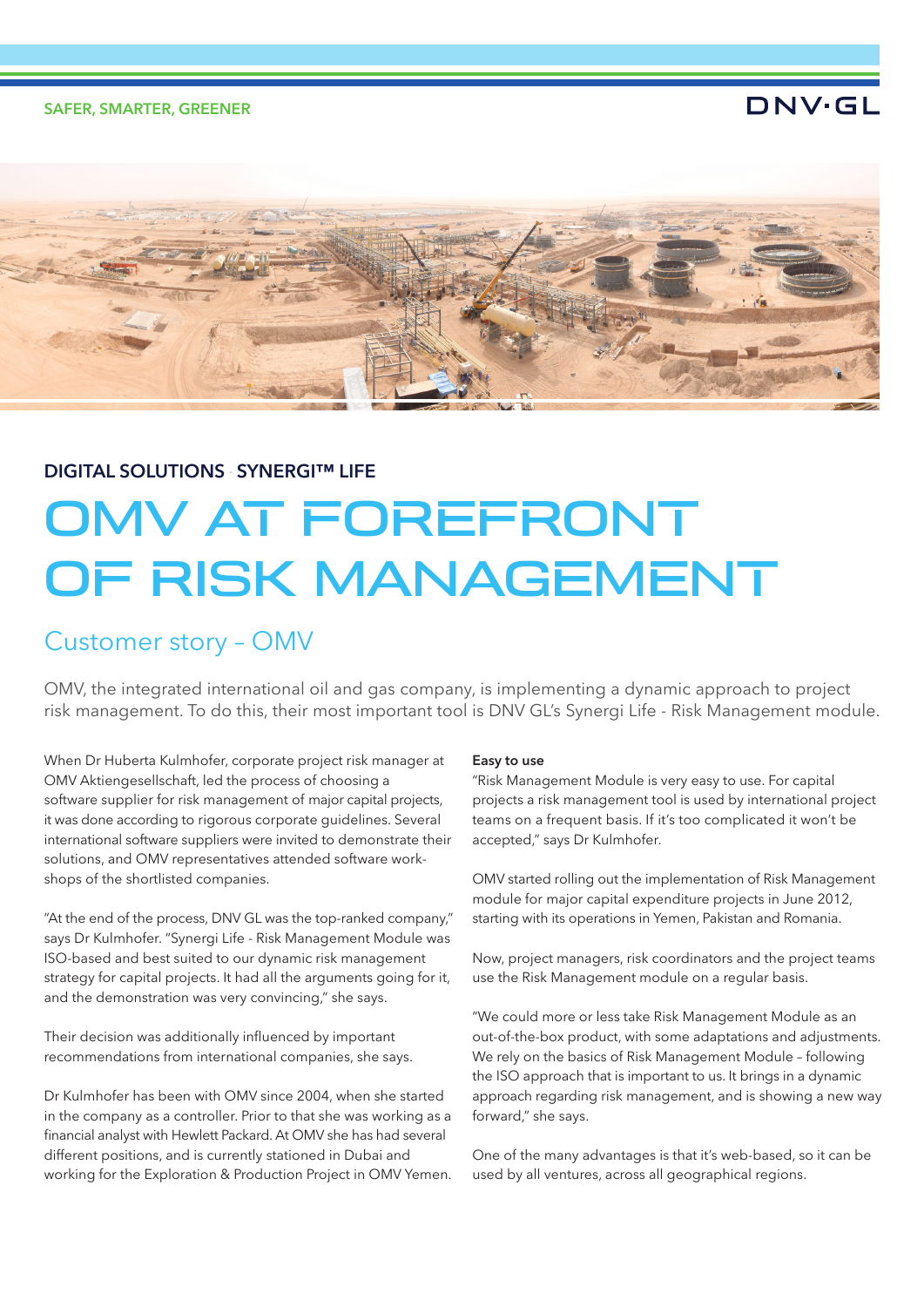SAFER, SMARTER, GREENER

## DNV·GL



## **DIGITAL SOLUTIONS SYNERGI™ LIFE**

# OMV AT FOREFRONT OF RISK MANAGEMENT

# Customer story – OMV

OMV, the integrated international oil and gas company, is implementing a dynamic approach to project risk management. To do this, their most important tool is DNV GL's Synergi Life - Risk Management module.

When Dr Huberta Kulmhofer, corporate project risk manager at OMV Aktiengesellschaft, led the process of choosing a software supplier for risk management of major capital projects, it was done according to rigorous corporate guidelines. Several international software suppliers were invited to demonstrate their solutions, and OMV representatives attended software workshops of the shortlisted companies.

"At the end of the process, DNV GL was the top-ranked company," says Dr Kulmhofer. "Synergi Life - Risk Management Module was ISO-based and best suited to our dynamic risk management strategy for capital projects. It had all the arguments going for it, and the demonstration was very convincing," she says.

Their decision was additionally influenced by important recommendations from international companies, she says.

Dr Kulmhofer has been with OMV since 2004, when she started in the company as a controller. Prior to that she was working as a financial analyst with Hewlett Packard. At OMV she has had several different positions, and is currently stationed in Dubai and working for the Exploration & Production Project in OMV Yemen.

## Easy to use

"Risk Management Module is very easy to use. For capital projects a risk management tool is used by international project teams on a frequent basis. If it's too complicated it won't be accepted," says Dr Kulmhofer.

OMV started rolling out the implementation of Risk Management module for major capital expenditure projects in June 2012, starting with its operations in Yemen, Pakistan and Romania.

Now, project managers, risk coordinators and the project teams use the Risk Management module on a regular basis.

"We could more or less take Risk Management Module as an out-of-the-box product, with some adaptations and adjustments. We rely on the basics of Risk Management Module – following the ISO approach that is important to us. It brings in a dynamic approach regarding risk management, and is showing a new way forward," she says.

One of the many advantages is that it's web-based, so it can be used by all ventures, across all geographical regions.